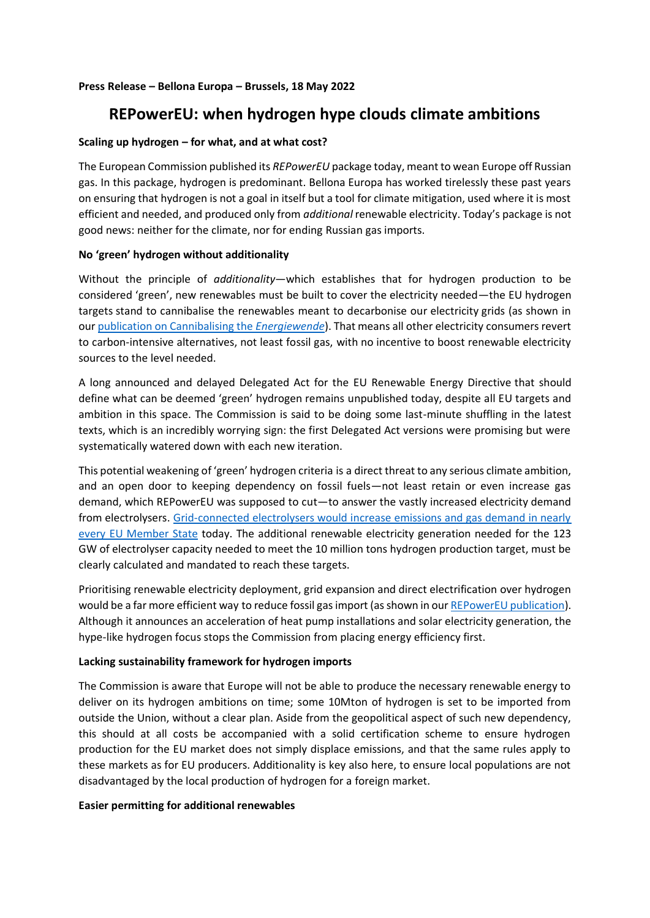# **Press Release – Bellona Europa – Brussels, 18 May 2022**

# **REPowerEU: when hydrogen hype clouds climate ambitions**

# **Scaling up hydrogen – for what, and at what cost?**

The European Commission published its *REPowerEU* package today, meant to wean Europe off Russian gas. In this package, hydrogen is predominant. Bellona Europa has worked tirelessly these past years on ensuring that hydrogen is not a goal in itself but a tool for climate mitigation, used where it is most efficient and needed, and produced only from *additional* renewable electricity. Today's package is not good news: neither for the climate, nor for ending Russian gas imports.

# **No 'green' hydrogen without additionality**

Without the principle of *additionality*—which establishes that for hydrogen production to be considered 'green', new renewables must be built to cover the electricity needed—the EU hydrogen targets stand to cannibalise the renewables meant to decarbonise our electricity grids (as shown in ou[r publication on Cannibalising the](https://bellona.org/publication/will-hydrogen-cannibalise-the-energiewende) *Energiewende*). That means all other electricity consumers revert to carbon-intensive alternatives, not least fossil gas, with no incentive to boost renewable electricity sources to the level needed.

A long announced and delayed Delegated Act for the EU Renewable Energy Directive that should define what can be deemed 'green' hydrogen remains unpublished today, despite all EU targets and ambition in this space. The Commission is said to be doing some last-minute shuffling in the latest texts, which is an incredibly worrying sign: the first Delegated Act versions were promising but were systematically watered down with each new iteration.

This potential weakening of 'green' hydrogen criteria is a direct threat to any serious climate ambition, and an open door to keeping dependency on fossil fuels—not least retain or even increase gas demand, which REPowerEU was supposed to cut—to answer the vastly increased electricity demand from electrolysers. [Grid-connected electrolysers would increase emissions and gas demand in nearly](https://bellona.org/publication/electrolysis-hydrogen-production-in-europe)  [every EU Member State](https://bellona.org/publication/electrolysis-hydrogen-production-in-europe) today. The additional renewable electricity generation needed for the 123 GW of electrolyser capacity needed to meet the 10 million tons hydrogen production target, must be clearly calculated and mandated to reach these targets.

Prioritising renewable electricity deployment, grid expansion and direct electrification over hydrogen would be a far more efficient way to reduce fossil gas import (as shown in our [REPowerEU publication\)](https://bellona.org/publication/using-repowereu-to-its-full-potential). Although it announces an acceleration of heat pump installations and solar electricity generation, the hype-like hydrogen focus stops the Commission from placing energy efficiency first.

# **Lacking sustainability framework for hydrogen imports**

The Commission is aware that Europe will not be able to produce the necessary renewable energy to deliver on its hydrogen ambitions on time; some 10Mton of hydrogen is set to be imported from outside the Union, without a clear plan. Aside from the geopolitical aspect of such new dependency, this should at all costs be accompanied with a solid certification scheme to ensure hydrogen production for the EU market does not simply displace emissions, and that the same rules apply to these markets as for EU producers. Additionality is key also here, to ensure local populations are not disadvantaged by the local production of hydrogen for a foreign market.

## **Easier permitting for additional renewables**